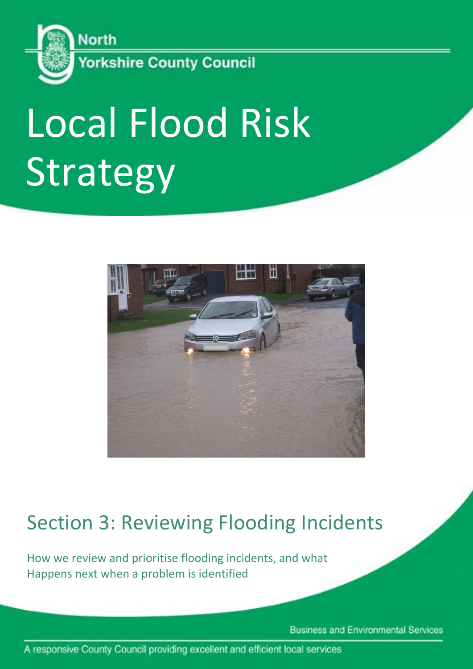

# Local Flood Risk Strategy



# Section 3: Reviewing Flooding Incidents

How we review and prioritise flooding incidents, and what Happens next when a problem is identified

**Business and Environmental Services** 

A responsive County Council providing excellent and efficient local services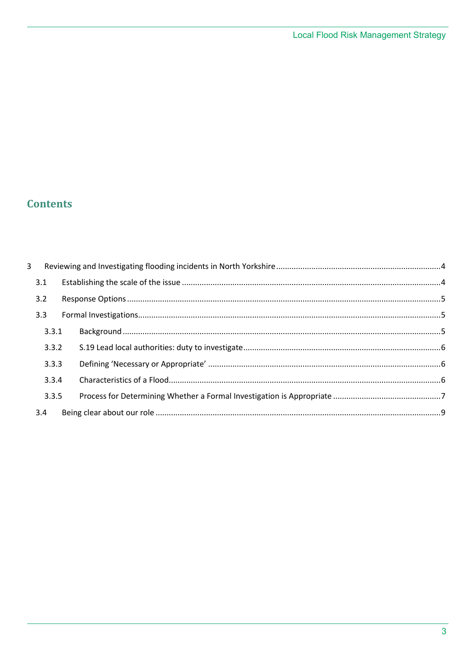# **Contents**

| $\overline{3}$ |       |  |  |  |  |
|----------------|-------|--|--|--|--|
|                | 3.1   |  |  |  |  |
|                | 3.2   |  |  |  |  |
|                | 3.3   |  |  |  |  |
|                |       |  |  |  |  |
|                | 3.3.1 |  |  |  |  |
|                | 3.3.2 |  |  |  |  |
|                | 3.3.3 |  |  |  |  |
|                | 3.3.4 |  |  |  |  |
|                | 3.3.5 |  |  |  |  |
|                | 3.4   |  |  |  |  |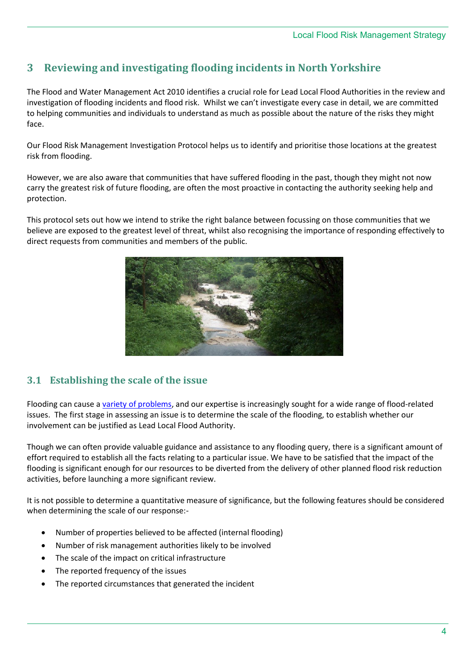# <span id="page-3-0"></span>**3 Reviewing and investigating flooding incidents in North Yorkshire**

The Flood and Water Management Act 2010 identifies a crucial role for Lead Local Flood Authorities in the review and investigation of flooding incidents and flood risk. Whilst we can't investigate every case in detail, we are committed to helping communities and individuals to understand as much as possible about the nature of the risks they might face.

Our Flood Risk Management Investigation Protocol helps us to identify and prioritise those locations at the greatest risk from flooding.

However, we are also aware that communities that have suffered flooding in the past, though they might not now carry the greatest risk of future flooding, are often the most proactive in contacting the authority seeking help and protection.

This protocol sets out how we intend to strike the right balance between focussing on those communities that we believe are exposed to the greatest level of threat, whilst also recognising the importance of responding effectively to direct requests from communities and members of the public.



#### <span id="page-3-1"></span>**3.1 Establishing the scale of the issue**

Flooding can cause a [variety of problems,](Local%20Strategy%20Section%204%20-%20Flooding%20in%20North%20Yorkshire.docx) and our expertise is increasingly sought for a wide range of flood-related issues. The first stage in assessing an issue is to determine the scale of the flooding, to establish whether our involvement can be justified as Lead Local Flood Authority.

Though we can often provide valuable guidance and assistance to any flooding query, there is a significant amount of effort required to establish all the facts relating to a particular issue. We have to be satisfied that the impact of the flooding is significant enough for our resources to be diverted from the delivery of other planned flood risk reduction activities, before launching a more significant review.

It is not possible to determine a quantitative measure of significance, but the following features should be considered when determining the scale of our response:-

- Number of properties believed to be affected (internal flooding)
- Number of risk management authorities likely to be involved
- The scale of the impact on critical infrastructure
- The reported frequency of the issues
- The reported circumstances that generated the incident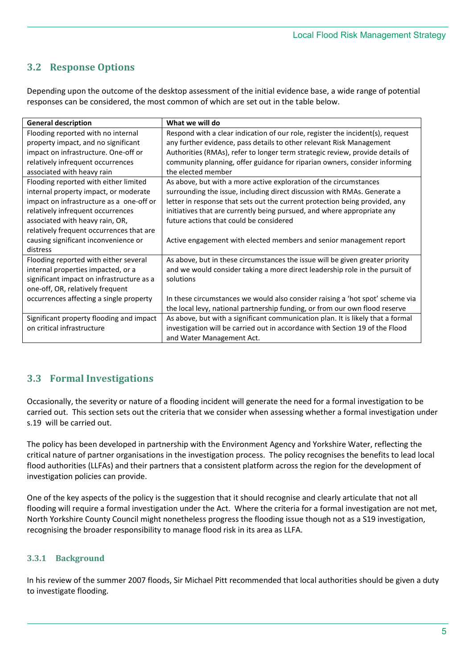# <span id="page-4-0"></span>**3.2 Response Options**

Depending upon the outcome of the desktop assessment of the initial evidence base, a wide range of potential responses can be considered, the most common of which are set out in the table below.

| <b>General description</b>                | What we will do                                                                 |
|-------------------------------------------|---------------------------------------------------------------------------------|
| Flooding reported with no internal        | Respond with a clear indication of our role, register the incident(s), request  |
| property impact, and no significant       | any further evidence, pass details to other relevant Risk Management            |
| impact on infrastructure. One-off or      | Authorities (RMAs), refer to longer term strategic review, provide details of   |
| relatively infrequent occurrences         | community planning, offer guidance for riparian owners, consider informing      |
| associated with heavy rain                | the elected member                                                              |
| Flooding reported with either limited     | As above, but with a more active exploration of the circumstances               |
| internal property impact, or moderate     | surrounding the issue, including direct discussion with RMAs. Generate a        |
| impact on infrastructure as a one-off or  | letter in response that sets out the current protection being provided, any     |
| relatively infrequent occurrences         | initiatives that are currently being pursued, and where appropriate any         |
| associated with heavy rain, OR,           | future actions that could be considered                                         |
| relatively frequent occurrences that are  |                                                                                 |
| causing significant inconvenience or      | Active engagement with elected members and senior management report             |
| distress                                  |                                                                                 |
| Flooding reported with either several     | As above, but in these circumstances the issue will be given greater priority   |
| internal properties impacted, or a        | and we would consider taking a more direct leadership role in the pursuit of    |
| significant impact on infrastructure as a | solutions                                                                       |
| one-off, OR, relatively frequent          |                                                                                 |
| occurrences affecting a single property   | In these circumstances we would also consider raising a 'hot spot' scheme via   |
|                                           | the local levy, national partnership funding, or from our own flood reserve     |
| Significant property flooding and impact  | As above, but with a significant communication plan. It is likely that a formal |
| on critical infrastructure                | investigation will be carried out in accordance with Section 19 of the Flood    |
|                                           | and Water Management Act.                                                       |

# <span id="page-4-1"></span>**3.3 Formal Investigations**

Occasionally, the severity or nature of a flooding incident will generate the need for a formal investigation to be carried out. This section sets out the criteria that we consider when assessing whether a formal investigation under s.19 will be carried out.

The policy has been developed in partnership with the Environment Agency and Yorkshire Water, reflecting the critical nature of partner organisations in the investigation process. The policy recognises the benefits to lead local flood authorities (LLFAs) and their partners that a consistent platform across the region for the development of investigation policies can provide.

One of the key aspects of the policy is the suggestion that it should recognise and clearly articulate that not all flooding will require a formal investigation under the Act. Where the criteria for a formal investigation are not met, North Yorkshire County Council might nonetheless progress the flooding issue though not as a S19 investigation, recognising the broader responsibility to manage flood risk in its area as LLFA.

## <span id="page-4-2"></span>**3.3.1 Background**

In his review of the summer 2007 floods, Sir Michael Pitt recommended that local authorities should be given a duty to investigate flooding.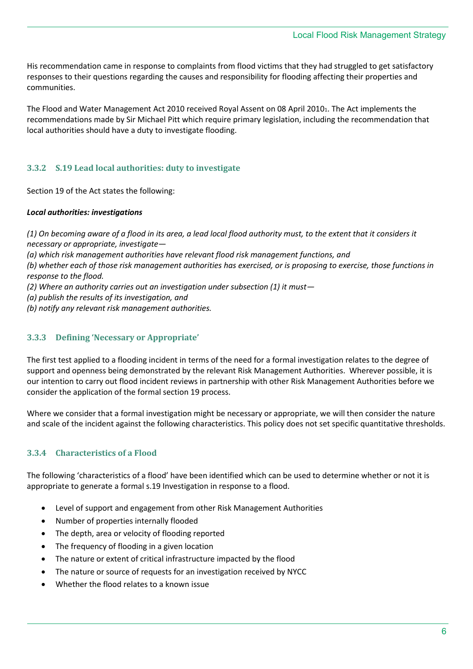His recommendation came in response to complaints from flood victims that they had struggled to get satisfactory responses to their questions regarding the causes and responsibility for flooding affecting their properties and communities.

The Flood and Water Management Act 2010 received Royal Assent on 08 April 20101. The Act implements the recommendations made by Sir Michael Pitt which require primary legislation, including the recommendation that local authorities should have a duty to investigate flooding.

#### <span id="page-5-0"></span>**3.3.2 S.19 Lead local authorities: duty to investigate**

Section 19 of the Act states the following:

#### *Local authorities: investigations*

*(1) On becoming aware of a flood in its area, a lead local flood authority must, to the extent that it considers it necessary or appropriate, investigate—*

*(a) which risk management authorities have relevant flood risk management functions, and* 

*(b) whether each of those risk management authorities has exercised, or is proposing to exercise, those functions in response to the flood.* 

- *(2) Where an authority carries out an investigation under subsection (1) it must—*
- *(a) publish the results of its investigation, and*
- *(b) notify any relevant risk management authorities.*

#### <span id="page-5-1"></span>**3.3.3 Defining 'Necessary or Appropriate'**

The first test applied to a flooding incident in terms of the need for a formal investigation relates to the degree of support and openness being demonstrated by the relevant Risk Management Authorities. Wherever possible, it is our intention to carry out flood incident reviews in partnership with other Risk Management Authorities before we consider the application of the formal section 19 process.

Where we consider that a formal investigation might be necessary or appropriate, we will then consider the nature and scale of the incident against the following characteristics. This policy does not set specific quantitative thresholds.

#### <span id="page-5-2"></span>**3.3.4 Characteristics of a Flood**

The following 'characteristics of a flood' have been identified which can be used to determine whether or not it is appropriate to generate a formal s.19 Investigation in response to a flood.

- Level of support and engagement from other Risk Management Authorities
- Number of properties internally flooded
- The depth, area or velocity of flooding reported
- The frequency of flooding in a given location
- The nature or extent of critical infrastructure impacted by the flood
- The nature or source of requests for an investigation received by NYCC
- Whether the flood relates to a known issue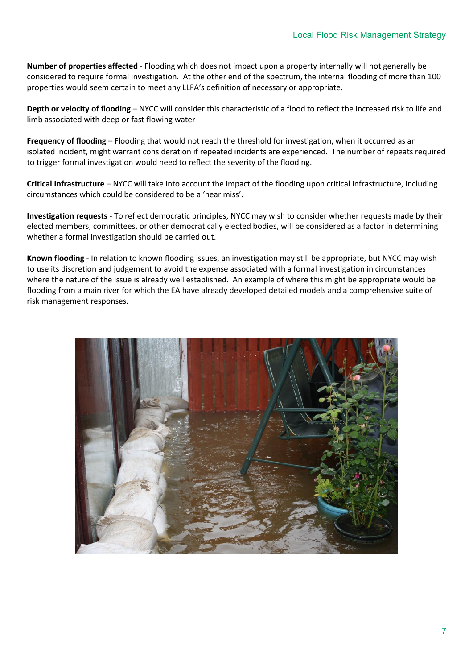**Number of properties affected** - Flooding which does not impact upon a property internally will not generally be considered to require formal investigation. At the other end of the spectrum, the internal flooding of more than 100 properties would seem certain to meet any LLFA's definition of necessary or appropriate.

**Depth or velocity of flooding** – NYCC will consider this characteristic of a flood to reflect the increased risk to life and limb associated with deep or fast flowing water

**Frequency of flooding** – Flooding that would not reach the threshold for investigation, when it occurred as an isolated incident, might warrant consideration if repeated incidents are experienced. The number of repeats required to trigger formal investigation would need to reflect the severity of the flooding.

**Critical Infrastructure** – NYCC will take into account the impact of the flooding upon critical infrastructure, including circumstances which could be considered to be a 'near miss'.

**Investigation requests** - To reflect democratic principles, NYCC may wish to consider whether requests made by their elected members, committees, or other democratically elected bodies, will be considered as a factor in determining whether a formal investigation should be carried out.

**Known flooding** - In relation to known flooding issues, an investigation may still be appropriate, but NYCC may wish to use its discretion and judgement to avoid the expense associated with a formal investigation in circumstances where the nature of the issue is already well established. An example of where this might be appropriate would be flooding from a main river for which the EA have already developed detailed models and a comprehensive suite of risk management responses.

<span id="page-6-0"></span>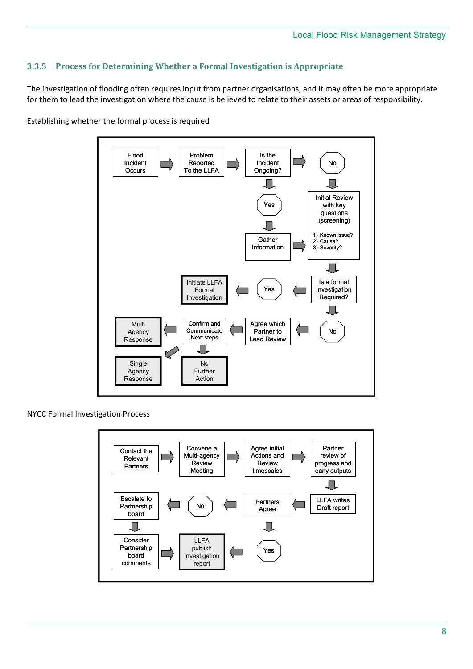#### **3.3.5 Process for Determining Whether a Formal Investigation is Appropriate**

The investigation of flooding often requires input from partner organisations, and it may often be more appropriate for them to lead the investigation where the cause is believed to relate to their assets or areas of responsibility.



Establishing whether the formal process is required

NYCC Formal Investigation Process